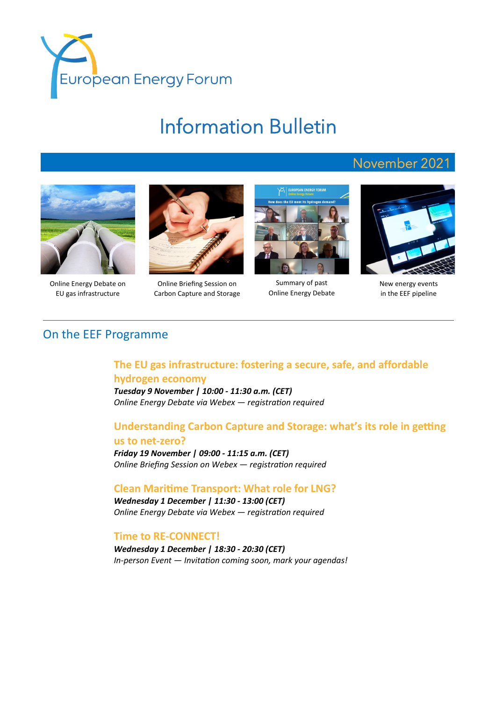

# Information Bulletin



Online Energy Debate on EU gas infrastructure



Online Briefing Session on Carbon Capture and Storage



Summary of past Online Energy Debate



November 2021

New energy events in the EEF pipeline

## On the EEF Programme

## **The EU gas infrastructure: fostering a secure, safe, and affordable hydrogen economy**

*Tuesday 9 November | 10:00 - 11:30 a.m. (CET) Online Energy Debate via Webex — registration required*

## **Understanding Carbon Capture and Storage: what's its role in getting**

#### **us to net-zero?**

*Friday 19 November | 09:00 - 11:15 a.m. (CET) Online Briefing Session on Webex — registration required* 

## **Clean Maritime Transport: What role for LNG?**

*Wednesday 1 December | 11:30 - 13:00 (CET) Online Energy Debate via Webex — registration required*

## **Time to RE-CONNECT!**

*Wednesday 1 December | 18:30 - 20:30 (CET) In-person Event — Invitation coming soon, mark your agendas!*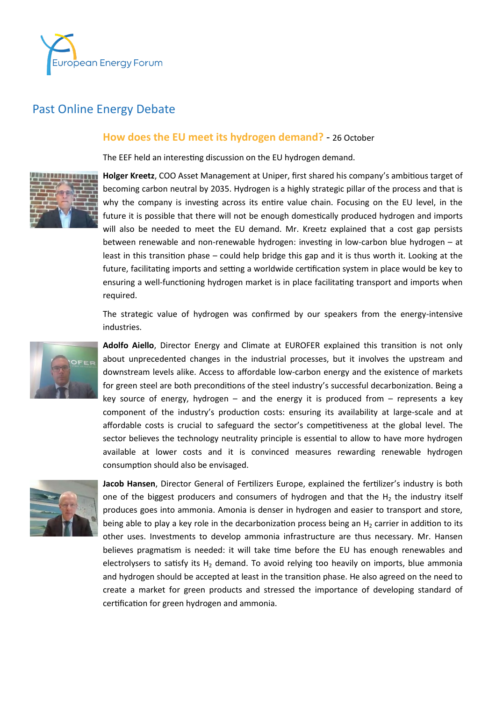

# Past Online Energy Debate

## **How does the EU meet its hydrogen demand?** - 26 October

The EEF held an interesting discussion on the EU hydrogen demand.



**Holger Kreetz**, COO Asset Management at Uniper, first shared his company's ambitious target of becoming carbon neutral by 2035. Hydrogen is a highly strategic pillar of the process and that is why the company is investing across its entire value chain. Focusing on the EU level, in the future it is possible that there will not be enough domestically produced hydrogen and imports will also be needed to meet the EU demand. Mr. Kreetz explained that a cost gap persists between renewable and non-renewable hydrogen: investing in low-carbon blue hydrogen – at least in this transition phase – could help bridge this gap and it is thus worth it. Looking at the future, facilitating imports and setting a worldwide certification system in place would be key to ensuring a well-functioning hydrogen market is in place facilitating transport and imports when required.

The strategic value of hydrogen was confirmed by our speakers from the energy-intensive industries.



**Adolfo Aiello**, Director Energy and Climate at EUROFER explained this transition is not only about unprecedented changes in the industrial processes, but it involves the upstream and downstream levels alike. Access to affordable low-carbon energy and the existence of markets for green steel are both preconditions of the steel industry's successful decarbonization. Being a key source of energy, hydrogen – and the energy it is produced from – represents a key component of the industry's production costs: ensuring its availability at large-scale and at affordable costs is crucial to safeguard the sector's competitiveness at the global level. The sector believes the technology neutrality principle is essential to allow to have more hydrogen available at lower costs and it is convinced measures rewarding renewable hydrogen consumption should also be envisaged.



**Jacob Hansen**, Director General of Fertilizers Europe, explained the fertilizer's industry is both one of the biggest producers and consumers of hydrogen and that the  $H_2$  the industry itself produces goes into ammonia. Amonia is denser in hydrogen and easier to transport and store, being able to play a key role in the decarbonization process being an  $H<sub>2</sub>$  carrier in addition to its other uses. Investments to develop ammonia infrastructure are thus necessary. Mr. Hansen believes pragmatism is needed: it will take time before the EU has enough renewables and electrolysers to satisfy its  $H_2$  demand. To avoid relying too heavily on imports, blue ammonia and hydrogen should be accepted at least in the transition phase. He also agreed on the need to create a market for green products and stressed the importance of developing standard of certification for green hydrogen and ammonia.